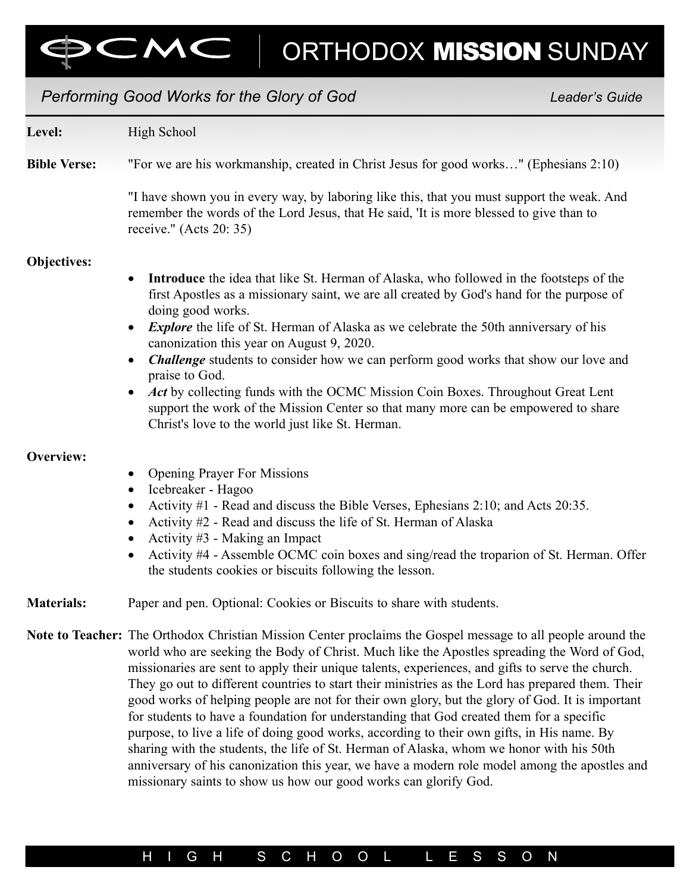# Performing Good Works for the Glory of God New Leader's Guide Level: High School Bible Verse: "For we are his workmanship, created in Christ Jesus for good works…" (Ephesians 2:10) "I have shown you in every way, by laboring like this, that you must support the weak. And remember the words of the Lord Jesus, that He said, 'It is more blessed to give than to receive." (Acts 20: 35) Objectives: • Introduce the idea that like St. Herman of Alaska, who followed in the footsteps of the first Apostles as a missionary saint, we are all created by God's hand for the purpose of doing good works. • Explore the life of St. Herman of Alaska as we celebrate the 50th anniversary of his canonization this year on August 9, 2020. • Challenge students to consider how we can perform good works that show our love and praise to God. • Act by collecting funds with the OCMC Mission Coin Boxes. Throughout Great Lent support the work of the Mission Center so that many more can be empowered to share Christ's love to the world just like St. Herman. Overview: • Opening Prayer For Missions • Icebreaker - Hagoo Activity #1 - Read and discuss the Bible Verses, Ephesians 2:10; and Acts 20:35. • Activity #2 - Read and discuss the life of St. Herman of Alaska Activity #3 - Making an Impact • Activity #4 - Assemble OCMC coin boxes and sing/read the troparion of St. Herman. Offer the students cookies or biscuits following the lesson. Materials: Paper and pen. Optional: Cookies or Biscuits to share with students. Note to Teacher: The Orthodox Christian Mission Center proclaims the Gospel message to all people around the world who are seeking the Body of Christ. Much like the Apostles spreading the Word of God, missionaries are sent to apply their unique talents, experiences, and gifts to serve the church. They go out to different countries to start their ministries as the Lord has prepared them. Their good works of helping people are not for their own glory, but the glory of God. It is important for students to have a foundation for understanding that God created them for a specific purpose, to live a life of doing good works, according to their own gifts, in His name. By

sharing with the students, the life of St. Herman of Alaska, whom we honor with his 50th anniversary of his canonization this year, we have a modern role model among the apostles and missionary saints to show us how our good works can glorify God.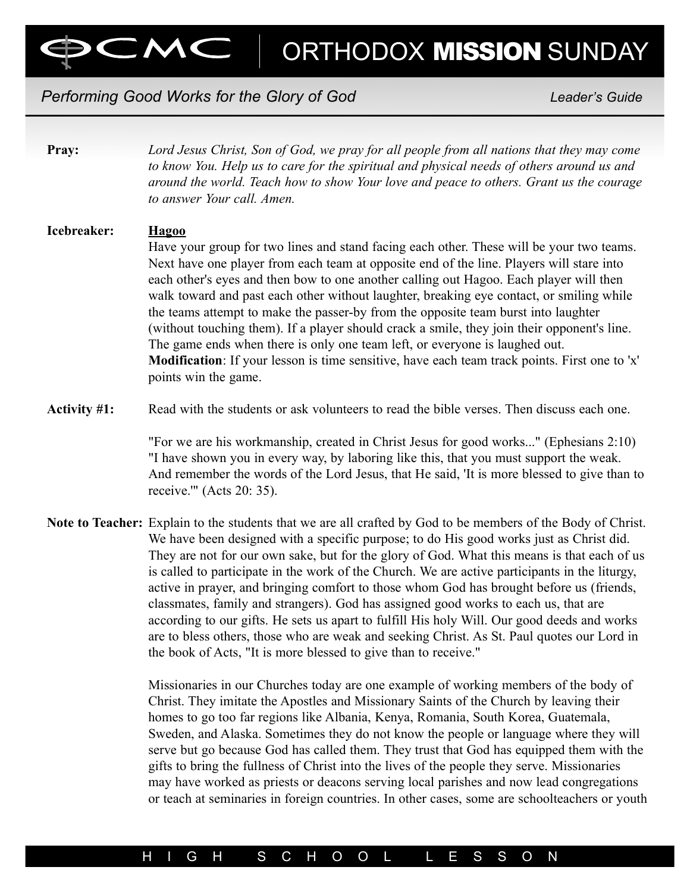# Performing Good Works for the Glory of God New York Changes and Leader's Guide

 $MC$ 

| Lord Jesus Christ, Son of God, we pray for all people from all nations that they may come<br>to know You. Help us to care for the spiritual and physical needs of others around us and<br>around the world. Teach how to show Your love and peace to others. Grant us the courage<br>to answer Your call. Amen.                                                                                                                                                                                                                                                                                                                                                                                                                                                                                                                                             |
|-------------------------------------------------------------------------------------------------------------------------------------------------------------------------------------------------------------------------------------------------------------------------------------------------------------------------------------------------------------------------------------------------------------------------------------------------------------------------------------------------------------------------------------------------------------------------------------------------------------------------------------------------------------------------------------------------------------------------------------------------------------------------------------------------------------------------------------------------------------|
| <b>Hagoo</b><br>Have your group for two lines and stand facing each other. These will be your two teams.<br>Next have one player from each team at opposite end of the line. Players will stare into<br>each other's eyes and then bow to one another calling out Hagoo. Each player will then<br>walk toward and past each other without laughter, breaking eye contact, or smiling while<br>the teams attempt to make the passer-by from the opposite team burst into laughter<br>(without touching them). If a player should crack a smile, they join their opponent's line.<br>The game ends when there is only one team left, or everyone is laughed out.<br>Modification: If your lesson is time sensitive, have each team track points. First one to 'x'<br>points win the game.                                                                     |
| Read with the students or ask volunteers to read the bible verses. Then discuss each one.                                                                                                                                                                                                                                                                                                                                                                                                                                                                                                                                                                                                                                                                                                                                                                   |
| "For we are his workmanship, created in Christ Jesus for good works" (Ephesians 2:10)<br>"I have shown you in every way, by laboring like this, that you must support the weak.<br>And remember the words of the Lord Jesus, that He said, 'It is more blessed to give than to<br>receive."" (Acts $20:35$ ).                                                                                                                                                                                                                                                                                                                                                                                                                                                                                                                                               |
| Note to Teacher: Explain to the students that we are all crafted by God to be members of the Body of Christ.<br>We have been designed with a specific purpose; to do His good works just as Christ did.<br>They are not for our own sake, but for the glory of God. What this means is that each of us<br>is called to participate in the work of the Church. We are active participants in the liturgy,<br>active in prayer, and bringing comfort to those whom God has brought before us (friends,<br>classmates, family and strangers). God has assigned good works to each us, that are<br>according to our gifts. He sets us apart to fulfill His holy Will. Our good deeds and works<br>are to bless others, those who are weak and seeking Christ. As St. Paul quotes our Lord in<br>the book of Acts, "It is more blessed to give than to receive." |
| Missionaries in our Churches today are one example of working members of the body of<br>Christ. They imitate the Apostles and Missionary Saints of the Church by leaving their<br>homes to go too far regions like Albania, Kenya, Romania, South Korea, Guatemala,<br>Sweden, and Alaska. Sometimes they do not know the people or language where they will<br>serve but go because God has called them. They trust that God has equipped them with the<br>gifts to bring the fullness of Christ into the lives of the people they serve. Missionaries<br>may have worked as priests or deacons serving local parishes and now lead congregations<br>or teach at seminaries in foreign countries. In other cases, some are schoolteachers or youth                                                                                                         |
|                                                                                                                                                                                                                                                                                                                                                                                                                                                                                                                                                                                                                                                                                                                                                                                                                                                             |

## H I G H S C H O O L L E S S O N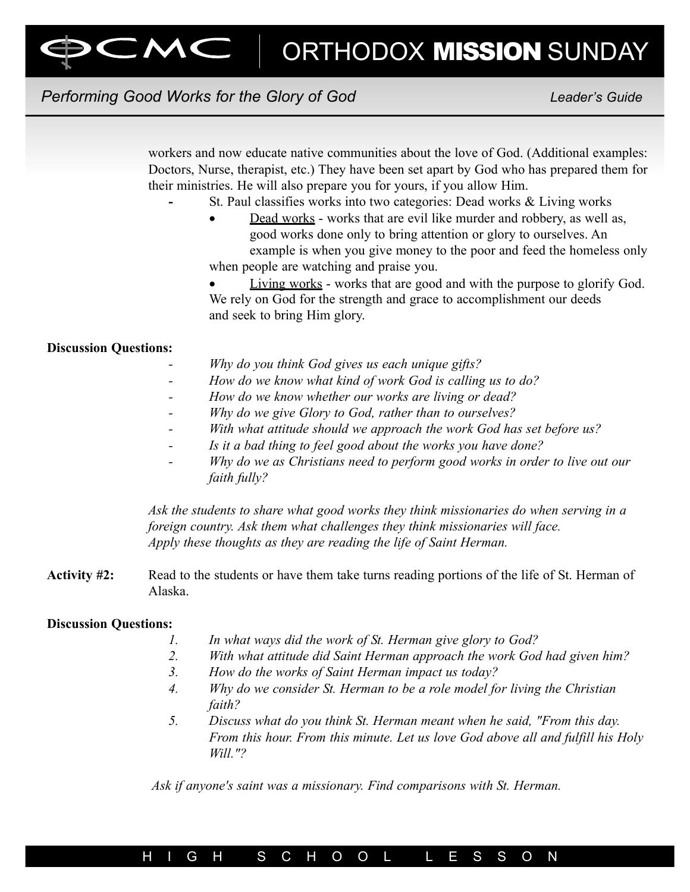# Performing Good Works for the Glory of God New Leader's Guide

workers and now educate native communities about the love of God. (Additional examples: Doctors, Nurse, therapist, etc.) They have been set apart by God who has prepared them for their ministries. He will also prepare you for yours, if you allow Him.

- St. Paul classifies works into two categories: Dead works & Living works
- Dead works works that are evil like murder and robbery, as well as, good works done only to bring attention or glory to ourselves. An example is when you give money to the poor and feed the homeless only when people are watching and praise you.
- Living works works that are good and with the purpose to glorify God. We rely on God for the strength and grace to accomplishment our deeds and seek to bring Him glory.

#### Discussion Questions:

- Why do you think God gives us each unique gifts?
- How do we know what kind of work God is calling us to do?
- How do we know whether our works are living or dead?
- Why do we give Glory to God, rather than to ourselves?
- With what attitude should we approach the work God has set before us?
- Is it a bad thing to feel good about the works you have done?
- Why do we as Christians need to perform good works in order to live out our faith fully?

Ask the students to share what good works they think missionaries do when serving in a foreign country. Ask them what challenges they think missionaries will face. Apply these thoughts as they are reading the life of Saint Herman.

Activity #2: Read to the students or have them take turns reading portions of the life of St. Herman of Alaska.

#### Discussion Questions:

- 1. In what ways did the work of St. Herman give glory to God?
- 2. With what attitude did Saint Herman approach the work God had given him?
- 3. How do the works of Saint Herman impact us today?
- 4. Why do we consider St. Herman to be a role model for living the Christian faith?
- 5. Discuss what do you think St. Herman meant when he said, "From this day. From this hour. From this minute. Let us love God above all and fulfill his Holy Will."?

Ask if anyone's saint was a missionary. Find comparisons with St. Herman.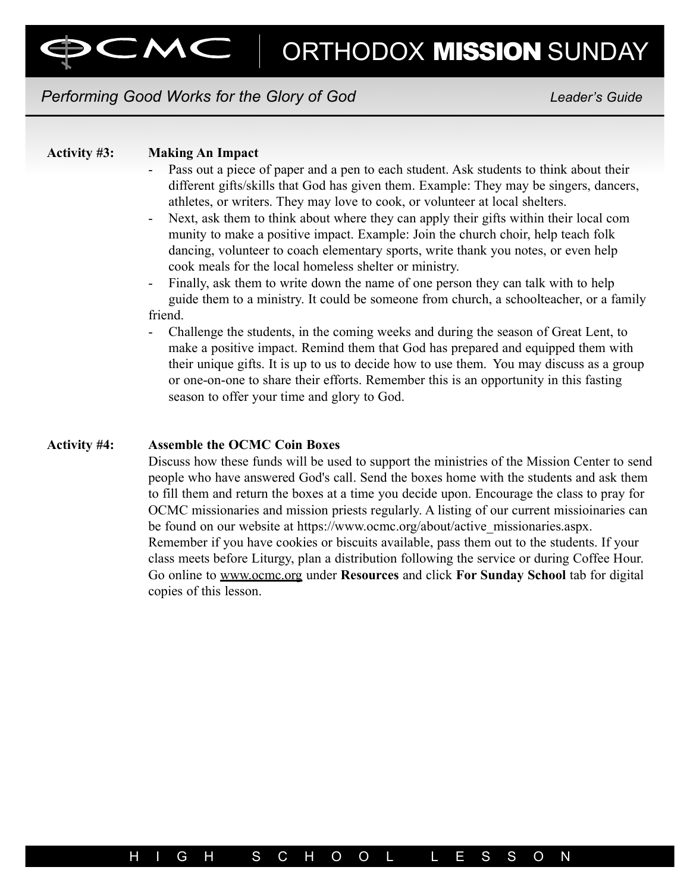## Performing Good Works for the Glory of God New Leader's Guide

#### Activity #3: Making An Impact

- Pass out a piece of paper and a pen to each student. Ask students to think about their different gifts/skills that God has given them. Example: They may be singers, dancers, athletes, or writers. They may love to cook, or volunteer at local shelters.
- Next, ask them to think about where they can apply their gifts within their local com munity to make a positive impact. Example: Join the church choir, help teach folk dancing, volunteer to coach elementary sports, write thank you notes, or even help cook meals for the local homeless shelter or ministry.
- Finally, ask them to write down the name of one person they can talk with to help guide them to a ministry. It could be someone from church, a schoolteacher, or a family friend.
- Challenge the students, in the coming weeks and during the season of Great Lent, to make a positive impact. Remind them that God has prepared and equipped them with their unique gifts. It is up to us to decide how to use them. You may discuss as a group or one-on-one to share their efforts. Remember this is an opportunity in this fasting season to offer your time and glory to God.

#### Activity #4: Assemble the OCMC Coin Boxes

Discuss how these funds will be used to support the ministries of the Mission Center to send people who have answered God's call. Send the boxes home with the students and ask them to fill them and return the boxes at a time you decide upon. Encourage the class to pray for OCMC missionaries and mission priests regularly. A listing of our current missioinaries can be found on our website at https://www.ocmc.org/about/active\_missionaries.aspx. Remember if you have cookies or biscuits available, pass them out to the students. If your class meets before Liturgy, plan a distribution following the service or during Coffee Hour. Go online to www.ocmc.org under Resources and click For Sunday School tab for digital copies of this lesson.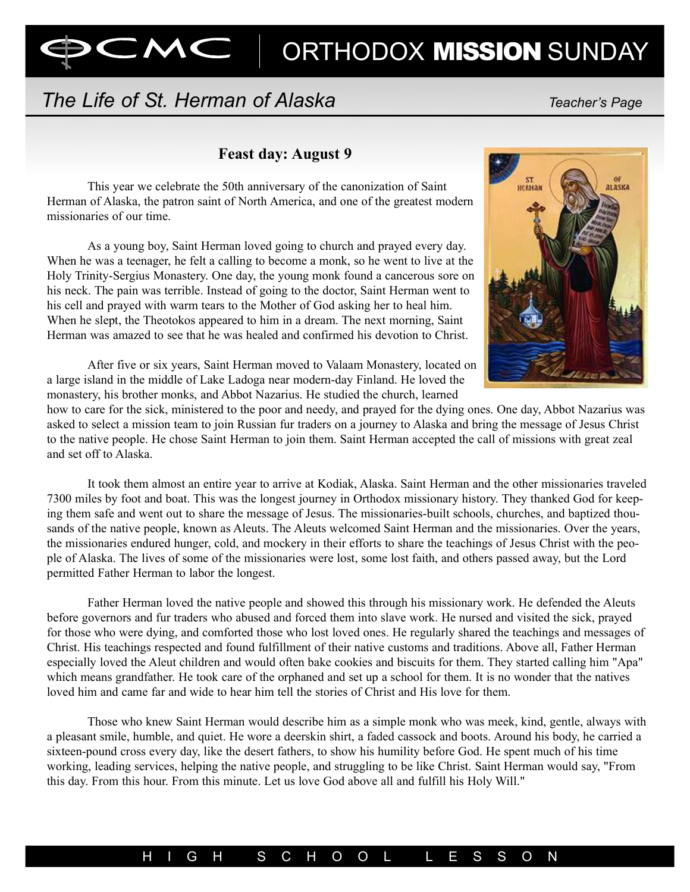# The Life of St. Herman of Alaska The Character's Page

CMC |

### Feast day: August 9

This year we celebrate the 50th anniversary of the canonization of Saint Herman of Alaska, the patron saint of North America, and one of the greatest modern missionaries of our time.

As a young boy, Saint Herman loved going to church and prayed every day. When he was a teenager, he felt a calling to become a monk, so he went to live at the Holy Trinity-Sergius Monastery. One day, the young monk found a cancerous sore on his neck. The pain was terrible. Instead of going to the doctor, Saint Herman went to his cell and prayed with warm tears to the Mother of God asking her to heal him. When he slept, the Theotokos appeared to him in a dream. The next morning, Saint Herman was amazed to see that he was healed and confirmed his devotion to Christ.



After five or six years, Saint Herman moved to Valaam Monastery, located on a large island in the middle of Lake Ladoga near modern-day Finland. He loved the monastery, his brother monks, and Abbot Nazarius. He studied the church, learned

how to care for the sick, ministered to the poor and needy, and prayed for the dying ones. One day, Abbot Nazarius was asked to select a mission team to join Russian fur traders on a journey to Alaska and bring the message of Jesus Christ to the native people. He chose Saint Herman to join them. Saint Herman accepted the call of missions with great zeal and set off to Alaska.

It took them almost an entire year to arrive at Kodiak, Alaska. Saint Herman and the other missionaries traveled 7300 miles by foot and boat. This was the longest journey in Orthodox missionary history. They thanked God for keeping them safe and went out to share the message of Jesus. The missionaries-built schools, churches, and baptized thousands of the native people, known as Aleuts. The Aleuts welcomed Saint Herman and the missionaries. Over the years, the missionaries endured hunger, cold, and mockery in their efforts to share the teachings of Jesus Christ with the people of Alaska. The lives of some of the missionaries were lost, some lost faith, and others passed away, but the Lord permitted Father Herman to labor the longest.

Father Herman loved the native people and showed this through his missionary work. He defended the Aleuts before governors and fur traders who abused and forced them into slave work. He nursed and visited the sick, prayed for those who were dying, and comforted those who lost loved ones. He regularly shared the teachings and messages of Christ. His teachings respected and found fulfillment of their native customs and traditions. Above all, Father Herman especially loved the Aleut children and would often bake cookies and biscuits for them. They started calling him "Apa" which means grandfather. He took care of the orphaned and set up a school for them. It is no wonder that the natives loved him and came far and wide to hear him tell the stories of Christ and His love for them.

Those who knew Saint Herman would describe him as a simple monk who was meek, kind, gentle, always with a pleasant smile, humble, and quiet. He wore a deerskin shirt, a faded cassock and boots. Around his body, he carried a sixteen-pound cross every day, like the desert fathers, to show his humility before God. He spent much of his time working, leading services, helping the native people, and struggling to be like Christ. Saint Herman would say, "From this day. From this hour. From this minute. Let us love God above all and fulfill his Holy Will."